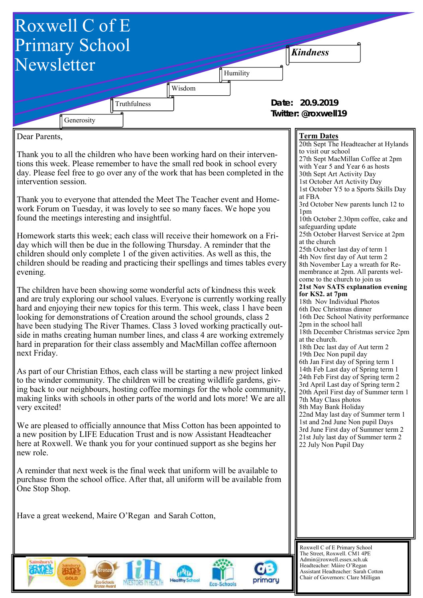